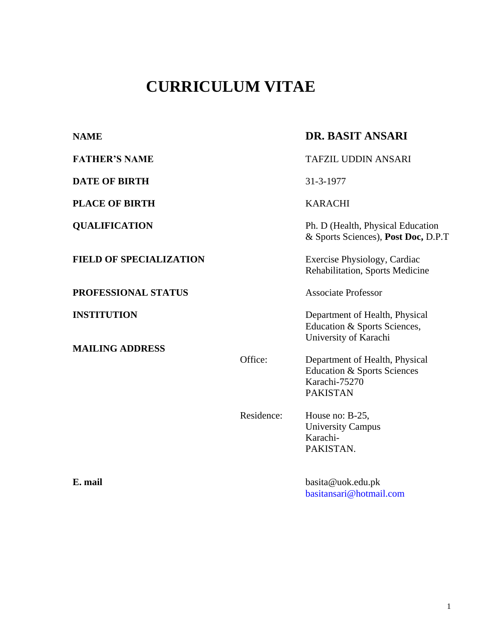# **CURRICULUM VITAE**

| <b>NAME</b>                                  |            | <b>DR. BASIT ANSARI</b>                                                                                      |
|----------------------------------------------|------------|--------------------------------------------------------------------------------------------------------------|
| <b>FATHER'S NAME</b>                         |            | <b>TAFZIL UDDIN ANSARI</b>                                                                                   |
| <b>DATE OF BIRTH</b>                         |            | 31-3-1977                                                                                                    |
| <b>PLACE OF BIRTH</b>                        |            | <b>KARACHI</b>                                                                                               |
| <b>QUALIFICATION</b>                         |            | Ph. D (Health, Physical Education<br>& Sports Sciences), Post Doc, D.P.T                                     |
| <b>FIELD OF SPECIALIZATION</b>               |            | Exercise Physiology, Cardiac<br>Rehabilitation, Sports Medicine                                              |
| PROFESSIONAL STATUS                          |            | <b>Associate Professor</b>                                                                                   |
| <b>INSTITUTION</b><br><b>MAILING ADDRESS</b> |            | Department of Health, Physical<br>Education & Sports Sciences,<br>University of Karachi                      |
|                                              | Office:    | Department of Health, Physical<br><b>Education &amp; Sports Sciences</b><br>Karachi-75270<br><b>PAKISTAN</b> |
|                                              | Residence: | House no: B-25,<br><b>University Campus</b><br>Karachi-<br>PAKISTAN.                                         |
| E. mail                                      |            | basita@uok.edu.pk<br>basitansari@hotmail.com                                                                 |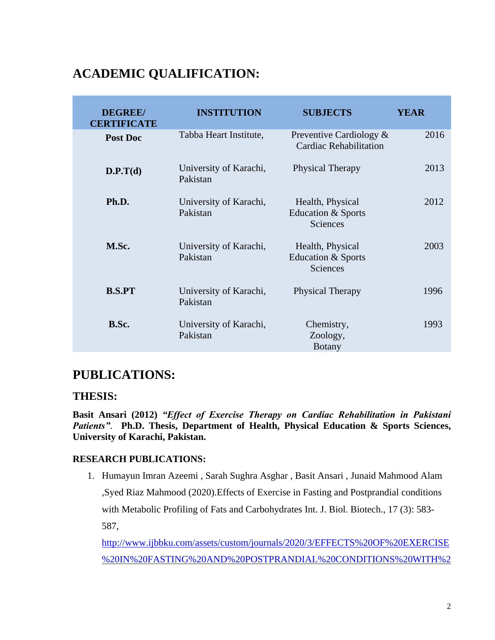# **ACADEMIC QUALIFICATION:**

| <b>DEGREE/</b><br><b>CERTIFICATE</b> | <b>INSTITUTION</b>                 | <b>SUBJECTS</b>                                          | <b>YEAR</b> |
|--------------------------------------|------------------------------------|----------------------------------------------------------|-------------|
| Post Doc                             | Tabba Heart Institute,             | Preventive Cardiology &<br><b>Cardiac Rehabilitation</b> | 2016        |
| D.P.T(d)                             | University of Karachi,<br>Pakistan | Physical Therapy                                         | 2013        |
| Ph.D.                                | University of Karachi,<br>Pakistan | Health, Physical<br>Education & Sports<br>Sciences       | 2012        |
| M.Sc.                                | University of Karachi,<br>Pakistan | Health, Physical<br>Education & Sports<br>Sciences       | 2003        |
| <b>B.S.PT</b>                        | University of Karachi,<br>Pakistan | Physical Therapy                                         | 1996        |
| B.Sc.                                | University of Karachi,<br>Pakistan | Chemistry,<br>Zoology,<br><b>Botany</b>                  | 1993        |

# **PUBLICATIONS:**

### **THESIS:**

**Basit Ansari (2012)** *"Effect of Exercise Therapy on Cardiac Rehabilitation in Pakistani Patients"*. **Ph.D. Thesis, Department of Health, Physical Education & Sports Sciences, University of Karachi, Pakistan.** 

### **RESEARCH PUBLICATIONS:**

1. Humayun Imran Azeemi , Sarah Sughra Asghar , Basit Ansari , Junaid Mahmood Alam ,Syed Riaz Mahmood (2020).Effects of Exercise in Fasting and Postprandial conditions with Metabolic Profiling of Fats and Carbohydrates Int. J. Biol. Biotech., 17 (3): 583- 587,

[http://www.ijbbku.com/assets/custom/journals/2020/3/EFFECTS%20OF%20EXERCISE](http://www.ijbbku.com/assets/custom/journals/2020/3/EFFECTS%20OF%20EXERCISE%20IN%20FASTING%20AND%20POSTPRANDIAL%20CONDITIONS%20WITH%20METABOLIC%20PROFILING%20OF%20FATS%20AND%20CARBOHYDRATES.pdf) [%20IN%20FASTING%20AND%20POSTPRANDIAL%20CONDITIONS%20WITH%2](http://www.ijbbku.com/assets/custom/journals/2020/3/EFFECTS%20OF%20EXERCISE%20IN%20FASTING%20AND%20POSTPRANDIAL%20CONDITIONS%20WITH%20METABOLIC%20PROFILING%20OF%20FATS%20AND%20CARBOHYDRATES.pdf)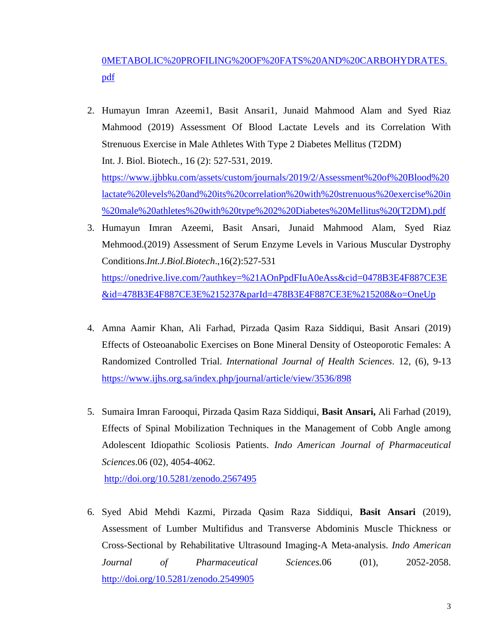# [0METABOLIC%20PROFILING%20OF%20FATS%20AND%20CARBOHYDRATES.](http://www.ijbbku.com/assets/custom/journals/2020/3/EFFECTS%20OF%20EXERCISE%20IN%20FASTING%20AND%20POSTPRANDIAL%20CONDITIONS%20WITH%20METABOLIC%20PROFILING%20OF%20FATS%20AND%20CARBOHYDRATES.pdf) [pdf](http://www.ijbbku.com/assets/custom/journals/2020/3/EFFECTS%20OF%20EXERCISE%20IN%20FASTING%20AND%20POSTPRANDIAL%20CONDITIONS%20WITH%20METABOLIC%20PROFILING%20OF%20FATS%20AND%20CARBOHYDRATES.pdf)

- 2. Humayun Imran Azeemi1, Basit Ansari1, Junaid Mahmood Alam and Syed Riaz Mahmood (2019) Assessment Of Blood Lactate Levels and its Correlation With Strenuous Exercise in Male Athletes With Type 2 Diabetes Mellitus (T2DM) Int. J. Biol. Biotech., 16 (2): 527-531, 2019. [https://www.ijbbku.com/assets/custom/journals/2019/2/Assessment%20of%20Blood%20](https://www.ijbbku.com/assets/custom/journals/2019/2/Assessment%20of%20Blood%20lactate%20levels%20and%20its%20correlation%20with%20strenuous%20exercise%20in%20male%20athletes%20with%20type%202%20Diabetes%20Mellitus%20(T2DM).pdf) [lactate%20levels%20and%20its%20correlation%20with%20strenuous%20exercise%20in](https://www.ijbbku.com/assets/custom/journals/2019/2/Assessment%20of%20Blood%20lactate%20levels%20and%20its%20correlation%20with%20strenuous%20exercise%20in%20male%20athletes%20with%20type%202%20Diabetes%20Mellitus%20(T2DM).pdf) [%20male%20athletes%20with%20type%202%20Diabetes%20Mellitus%20\(T2DM\).pdf](https://www.ijbbku.com/assets/custom/journals/2019/2/Assessment%20of%20Blood%20lactate%20levels%20and%20its%20correlation%20with%20strenuous%20exercise%20in%20male%20athletes%20with%20type%202%20Diabetes%20Mellitus%20(T2DM).pdf)
- 3. Humayun Imran Azeemi, Basit Ansari, Junaid Mahmood Alam, Syed Riaz Mehmood.(2019) Assessment of Serum Enzyme Levels in Various Muscular Dystrophy Conditions.*Int.J.Biol.Biotech*.,16(2):527-531 [https://onedrive.live.com/?authkey=%21AOnPpdFIuA0eAss&cid=0478B3E4F887CE3E](https://onedrive.live.com/?authkey=%21AOnPpdFIuA0eAss&cid=0478B3E4F887CE3E&id=478B3E4F887CE3E%215237&parId=478B3E4F887CE3E%215208&o=OneUp) [&id=478B3E4F887CE3E%215237&parId=478B3E4F887CE3E%215208&o=OneUp](https://onedrive.live.com/?authkey=%21AOnPpdFIuA0eAss&cid=0478B3E4F887CE3E&id=478B3E4F887CE3E%215237&parId=478B3E4F887CE3E%215208&o=OneUp)
- 4. Amna Aamir Khan, Ali Farhad, Pirzada Qasim Raza Siddiqui, Basit Ansari (2019) Effects of Osteoanabolic Exercises on Bone Mineral Density of Osteoporotic Females: A Randomized Controlled Trial. *International Journal of Health Sciences*. 12, (6), 9-13 <https://www.ijhs.org.sa/index.php/journal/article/view/3536/898>
- 5. Sumaira Imran Farooqui, Pirzada Qasim Raza Siddiqui, **Basit Ansari,** Ali Farhad (2019), Effects of Spinal Mobilization Techniques in the Management of Cobb Angle among Adolescent Idiopathic Scoliosis Patients. *Indo American Journal of Pharmaceutical Sciences*.06 (02), 4054-4062.

<http://doi.org/10.5281/zenodo.2567495>

6. Syed Abid Mehdi Kazmi, Pirzada Qasim Raza Siddiqui, **Basit Ansari** (2019), Assessment of Lumber Multifidus and Transverse Abdominis Muscle Thickness or Cross-Sectional by Rehabilitative Ultrasound Imaging-A Meta-analysis. *Indo American Journal of Pharmaceutical Sciences.*06 (01), 2052-2058. <http://doi.org/10.5281/zenodo.2549905>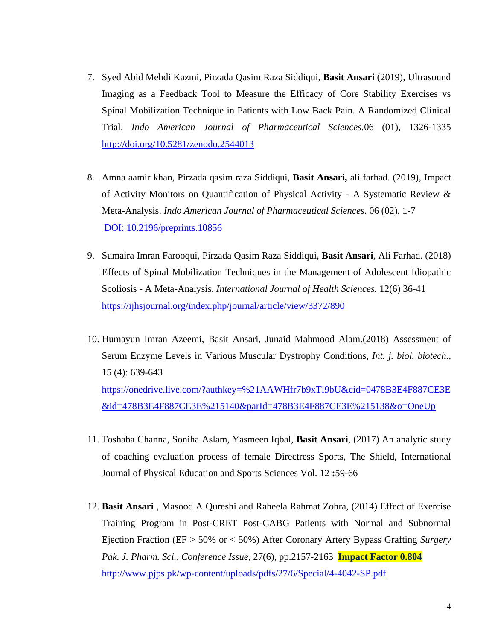- 7. Syed Abid Mehdi Kazmi, Pirzada Qasim Raza Siddiqui, **Basit Ansari** (2019), Ultrasound Imaging as a Feedback Tool to Measure the Efficacy of Core Stability Exercises vs Spinal Mobilization Technique in Patients with Low Back Pain. A Randomized Clinical Trial. *Indo American Journal of Pharmaceutical Sciences.*06 (01), 1326-1335 <http://doi.org/10.5281/zenodo.2544013>
- 8. Amna aamir khan, Pirzada qasim raza Siddiqui, **Basit Ansari,** ali farhad. (2019), Impact of Activity Monitors on Quantification of Physical Activity - A Systematic Review & Meta-Analysis. *Indo American Journal of Pharmaceutical Sciences*. 06 (02), 1-7 DOI: [10.2196/preprints.10856](http://dx.doi.org/10.2196/preprints.10856)
- 9. Sumaira Imran Farooqui, Pirzada Qasim Raza Siddiqui, **Basit Ansari**, Ali Farhad. (2018) Effects of Spinal Mobilization Techniques in the Management of Adolescent Idiopathic Scoliosis - A Meta-Analysis. *International Journal of Health Sciences.* 12(6) 36-41 <https://ijhsjournal.org/index.php/journal/article/view/3372/890>
- 10. Humayun Imran Azeemi, Basit Ansari, Junaid Mahmood Alam.(2018) Assessment of Serum Enzyme Levels in Various Muscular Dystrophy Conditions, *Int. j. biol. biotech*., 15 (4): 639-643 [https://onedrive.live.com/?authkey=%21AAWHfr7b9xTl9bU&cid=0478B3E4F887CE3E](https://onedrive.live.com/?authkey=%21AAWHfr7b9xTl9bU&cid=0478B3E4F887CE3E&id=478B3E4F887CE3E%215140&parId=478B3E4F887CE3E%215138&o=OneUp) [&id=478B3E4F887CE3E%215140&parId=478B3E4F887CE3E%215138&o=OneUp](https://onedrive.live.com/?authkey=%21AAWHfr7b9xTl9bU&cid=0478B3E4F887CE3E&id=478B3E4F887CE3E%215140&parId=478B3E4F887CE3E%215138&o=OneUp)
- 11. Toshaba Channa, Soniha Aslam, Yasmeen Iqbal, **Basit Ansari**, (2017) An analytic study of coaching evaluation process of female Directress Sports, The Shield, International Journal of Physical Education and Sports Sciences Vol. 12 **:**59-66
- 12. **Basit Ansari** , Masood A Qureshi and Raheela Rahmat Zohra, (2014) Effect of Exercise Training Program in Post-CRET Post-CABG Patients with Normal and Subnormal Ejection Fraction (EF > 50% or < 50%) After Coronary Artery Bypass Grafting *Surgery Pak. J. Pharm. Sci., Conference Issue,* 27(6), pp.2157-2163 **Impact Factor 0.804** <http://www.pjps.pk/wp-content/uploads/pdfs/27/6/Special/4-4042-SP.pdf>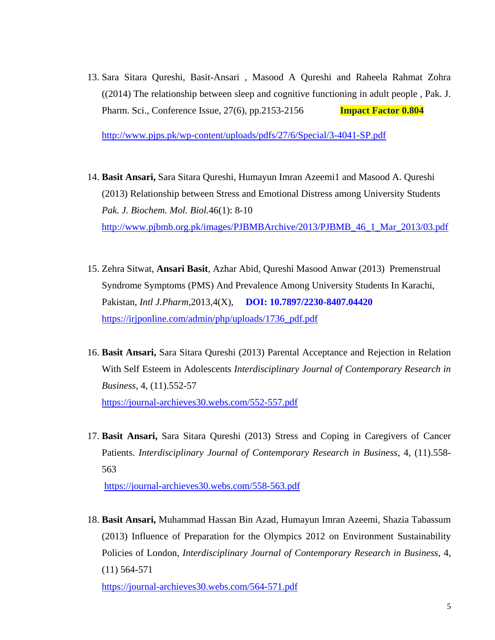13. Sara Sitara Qureshi, Basit-Ansari , Masood A Qureshi and Raheela Rahmat Zohra ((2014) The relationship between sleep and cognitive functioning in adult people , Pak. J. Pharm. Sci., Conference Issue, 27(6), pp.2153-2156 **Impact Factor 0.804**

<http://www.pjps.pk/wp-content/uploads/pdfs/27/6/Special/3-4041-SP.pdf>

- 14. **Basit Ansari,** Sara Sitara Qureshi, Humayun Imran Azeemi1 and Masood A. Qureshi (2013) Relationship between Stress and Emotional Distress among University Students *Pak. J. Biochem. Mol. Biol.*46(1): 8-10 [http://www.pjbmb.org.pk/images/PJBMBArchive/2013/PJBMB\\_46\\_1\\_Mar\\_2013/03.pdf](http://www.pjbmb.org.pk/images/PJBMBArchive/2013/PJBMB_46_1_Mar_2013/03.pdf)
- 15. Zehra Sitwat, **Ansari Basit**, Azhar Abid, Qureshi Masood Anwar (2013) Premenstrual Syndrome Symptoms (PMS) And Prevalence Among University Students In Karachi, Pakistan, *Intl J.Pharm,*2013,4(X), **DOI: 10.7897/2230-8407.04420** [https://irjponline.com/admin/php/uploads/1736\\_pdf.pdf](https://irjponline.com/admin/php/uploads/1736_pdf.pdf)
- 16. **Basit Ansari,** Sara Sitara Qureshi (2013) Parental Acceptance and Rejection in Relation With Self Esteem in Adolescents *Interdisciplinary Journal of Contemporary Research in Business*, 4, (11).552-57 <https://journal-archieves30.webs.com/552-557.pdf>
- 17. **Basit Ansari,** Sara Sitara Qureshi (2013) Stress and Coping in Caregivers of Cancer Patients. *Interdisciplinary Journal of Contemporary Research in Business*, 4, (11).558- 563

<https://journal-archieves30.webs.com/558-563.pdf>

18. **Basit Ansari,** Muhammad Hassan Bin Azad, Humayun Imran Azeemi, Shazia Tabassum (2013) Influence of Preparation for the Olympics 2012 on Environment Sustainability Policies of London, *Interdisciplinary Journal of Contemporary Research in Business*, 4, (11) 564-571

<https://journal-archieves30.webs.com/564-571.pdf>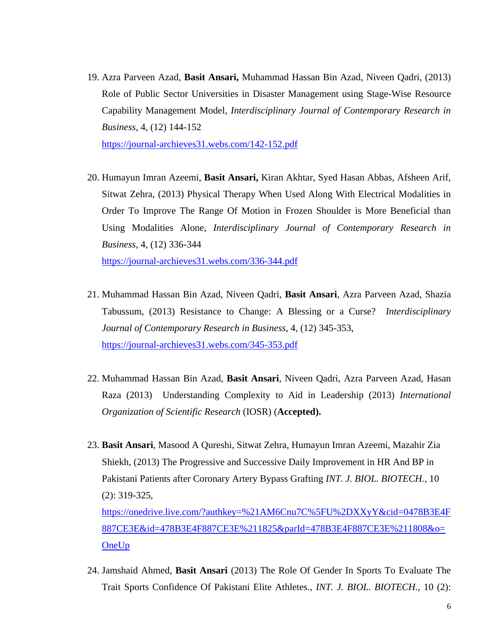19. Azra Parveen Azad, **Basit Ansari,** Muhammad Hassan Bin Azad, Niveen Qadri, (2013) Role of Public Sector Universities in Disaster Management using Stage-Wise Resource Capability Management Model, *Interdisciplinary Journal of Contemporary Research in Business*, 4, (12) 144-152

<https://journal-archieves31.webs.com/142-152.pdf>

20. Humayun Imran Azeemi, **Basit Ansari,** Kiran Akhtar, Syed Hasan Abbas, Afsheen Arif, Sitwat Zehra, (2013) Physical Therapy When Used Along With Electrical Modalities in Order To Improve The Range Of Motion in Frozen Shoulder is More Beneficial than Using Modalities Alone, *Interdisciplinary Journal of Contemporary Research in Business*, 4, (12) 336-344 <https://journal-archieves31.webs.com/336-344.pdf>

- 21. Muhammad Hassan Bin Azad, Niveen Qadri, **Basit Ansari**, Azra Parveen Azad, Shazia Tabussum, (2013) Resistance to Change: A Blessing or a Curse? *Interdisciplinary Journal of Contemporary Research in Business*, 4, (12) 345-353, <https://journal-archieves31.webs.com/345-353.pdf>
- 22. Muhammad Hassan Bin Azad, **Basit Ansari**, Niveen Qadri, Azra Parveen Azad, Hasan Raza (2013) Understanding Complexity to Aid in Leadership (2013) *International Organization of Scientific Research* (IOSR) (**Accepted).**
- 23. **Basit Ansari**, Masood A Qureshi, Sitwat Zehra, Humayun Imran Azeemi, Mazahir Zia Shiekh, (2013) The Progressive and Successive Daily Improvement in HR And BP in Pakistani Patients after Coronary Artery Bypass Grafting *INT. J. BIOL. BIOTECH.,* 10 (2): 319-325, [https://onedrive.live.com/?authkey=%21AM6Cnu7C%5FU%2DXXyY&cid=0478B3E4F](https://onedrive.live.com/?authkey=%21AM6Cnu7C%5FU%2DXXyY&cid=0478B3E4F887CE3E&id=478B3E4F887CE3E%211825&parId=478B3E4F887CE3E%211808&o=OneUp) [887CE3E&id=478B3E4F887CE3E%211825&parId=478B3E4F887CE3E%211808&o=](https://onedrive.live.com/?authkey=%21AM6Cnu7C%5FU%2DXXyY&cid=0478B3E4F887CE3E&id=478B3E4F887CE3E%211825&parId=478B3E4F887CE3E%211808&o=OneUp) **[OneUp](https://onedrive.live.com/?authkey=%21AM6Cnu7C%5FU%2DXXyY&cid=0478B3E4F887CE3E&id=478B3E4F887CE3E%211825&parId=478B3E4F887CE3E%211808&o=OneUp)**
- 24. Jamshaid Ahmed, **Basit Ansari** (2013) The Role Of Gender In Sports To Evaluate The Trait Sports Confidence Of Pakistani Elite Athletes., *INT. J. BIOL. BIOTECH.,* 10 (2):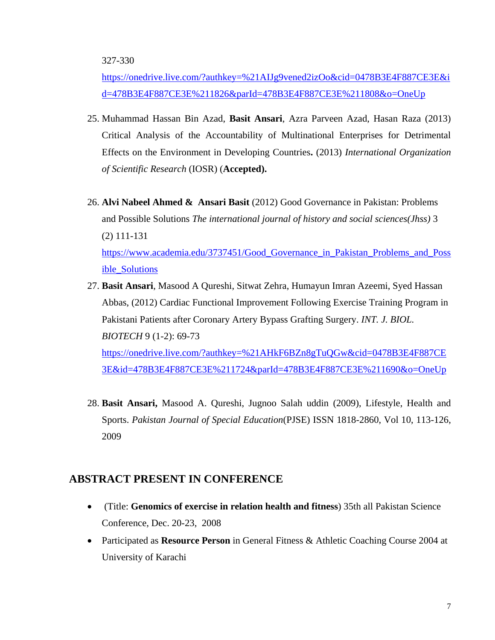[https://onedrive.live.com/?authkey=%21AIJg9vened2izOo&cid=0478B3E4F887CE3E&i](https://onedrive.live.com/?authkey=%21AIJg9vened2izOo&cid=0478B3E4F887CE3E&id=478B3E4F887CE3E%211826&parId=478B3E4F887CE3E%211808&o=OneUp) [d=478B3E4F887CE3E%211826&parId=478B3E4F887CE3E%211808&o=OneUp](https://onedrive.live.com/?authkey=%21AIJg9vened2izOo&cid=0478B3E4F887CE3E&id=478B3E4F887CE3E%211826&parId=478B3E4F887CE3E%211808&o=OneUp)

- 25. Muhammad Hassan Bin Azad, **Basit Ansari**, Azra Parveen Azad, Hasan Raza (2013) Critical Analysis of the Accountability of Multinational Enterprises for Detrimental Effects on the Environment in Developing Countries**.** (2013) *International Organization of Scientific Research* (IOSR) (**Accepted).**
- 26. **Alvi Nabeel Ahmed & Ansari Basit** (2012) Good Governance in Pakistan: Problems and Possible Solutions *The international journal of history and social sciences(Jhss)* 3 (2) 111-131 [https://www.academia.edu/3737451/Good\\_Governance\\_in\\_Pakistan\\_Problems\\_and\\_Poss](https://www.academia.edu/3737451/Good_Governance_in_Pakistan_Problems_and_Possible_Solutions) [ible\\_Solutions](https://www.academia.edu/3737451/Good_Governance_in_Pakistan_Problems_and_Possible_Solutions)
- 27. **Basit Ansari**, Masood A Qureshi, Sitwat Zehra, Humayun Imran Azeemi, Syed Hassan Abbas, (2012) Cardiac Functional Improvement Following Exercise Training Program in Pakistani Patients after Coronary Artery Bypass Grafting Surgery. *INT. J. BIOL. BIOTECH* 9 (1-2): 69-73 [https://onedrive.live.com/?authkey=%21AHkF6BZn8gTuQGw&cid=0478B3E4F887CE](https://onedrive.live.com/?authkey=%21AHkF6BZn8gTuQGw&cid=0478B3E4F887CE3E&id=478B3E4F887CE3E%211724&parId=478B3E4F887CE3E%211690&o=OneUp) [3E&id=478B3E4F887CE3E%211724&parId=478B3E4F887CE3E%211690&o=OneUp](https://onedrive.live.com/?authkey=%21AHkF6BZn8gTuQGw&cid=0478B3E4F887CE3E&id=478B3E4F887CE3E%211724&parId=478B3E4F887CE3E%211690&o=OneUp)
- 28. **Basit Ansari,** Masood A. Qureshi, Jugnoo Salah uddin (2009), Lifestyle, Health and Sports. *Pakistan Journal of Special Education*(PJSE) ISSN 1818-2860, Vol 10, 113-126, 2009

### **ABSTRACT PRESENT IN CONFERENCE**

- (Title: **Genomics of exercise in relation health and fitness**) 35th all Pakistan Science Conference, Dec. 20-23, 2008
- Participated as **Resource Person** in General Fitness & Athletic Coaching Course 2004 at University of Karachi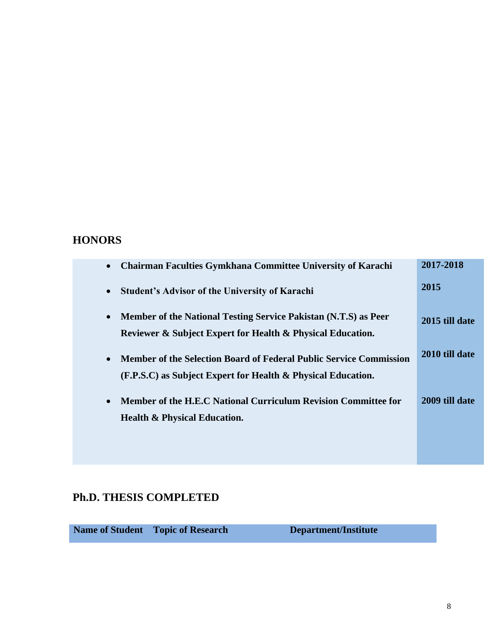### **HONORS**

| <b>Chairman Faculties Gymkhana Committee University of Karachi</b><br>$\bullet$                                                           | 2017-2018      |
|-------------------------------------------------------------------------------------------------------------------------------------------|----------------|
| <b>Student's Advisor of the University of Karachi</b><br>$\bullet$                                                                        | 2015           |
| Member of the National Testing Service Pakistan (N.T.S) as Peer<br>Reviewer & Subject Expert for Health & Physical Education.             | 2015 till date |
| <b>Member of the Selection Board of Federal Public Service Commission</b><br>(F.P.S.C) as Subject Expert for Health & Physical Education. | 2010 till date |
| Member of the H.E.C National Curriculum Revision Committee for<br><b>Health &amp; Physical Education.</b>                                 | 2009 till date |
|                                                                                                                                           |                |

### **Ph.D. THESIS COMPLETED**

**Name of Student Topic of Research Department/Institute**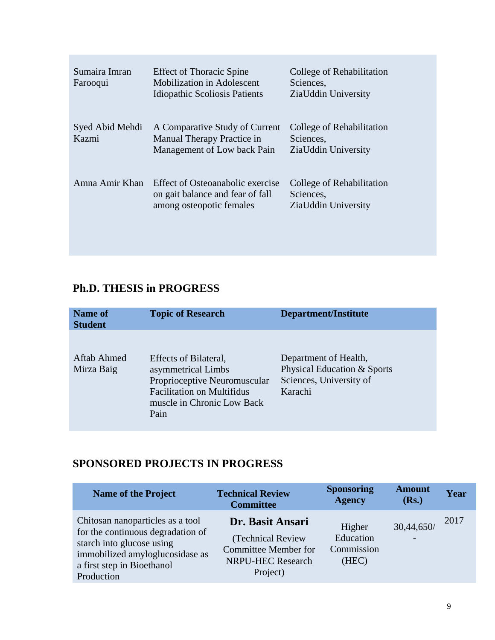| Sumaira Imran<br>Farooqui | <b>Effect of Thoracic Spine</b><br><b>Mobilization in Adolescent</b><br><b>Idiopathic Scoliosis Patients</b> | College of Rehabilitation<br>Sciences.<br>ZiaUddin University |
|---------------------------|--------------------------------------------------------------------------------------------------------------|---------------------------------------------------------------|
| Syed Abid Mehdi<br>Kazmi  | A Comparative Study of Current<br>Manual Therapy Practice in<br>Management of Low back Pain                  | College of Rehabilitation<br>Sciences,<br>ZiaUddin University |
| Amna Amir Khan            | Effect of Osteoanabolic exercise<br>on gait balance and fear of fall<br>among osteopotic females             | College of Rehabilitation<br>Sciences,<br>ZiaUddin University |

## **Ph.D. THESIS in PROGRESS**

| <b>Name of</b><br><b>Student</b> | <b>Topic of Research</b>                                                                                                                               | <b>Department/Institute</b>                                                                |
|----------------------------------|--------------------------------------------------------------------------------------------------------------------------------------------------------|--------------------------------------------------------------------------------------------|
| Aftab Ahmed<br>Mirza Baig        | Effects of Bilateral,<br>asymmetrical Limbs<br>Proprioceptive Neuromuscular<br><b>Facilitation on Multifidus</b><br>muscle in Chronic Low Back<br>Pain | Department of Health,<br>Physical Education & Sports<br>Sciences, University of<br>Karachi |

# **SPONSORED PROJECTS IN PROGRESS**

| <b>Name of the Project</b>                                                                                                                                                        | <b>Technical Review</b><br><b>Committee</b>                                                                  | <b>Sponsoring</b><br><b>Agency</b>         | <b>Amount</b><br>(Rs.) | Year |
|-----------------------------------------------------------------------------------------------------------------------------------------------------------------------------------|--------------------------------------------------------------------------------------------------------------|--------------------------------------------|------------------------|------|
| Chitosan nanoparticles as a tool<br>for the continuous degradation of<br>starch into glucose using<br>immobilized amyloglucosidase as<br>a first step in Bioethanol<br>Production | Dr. Basit Ansari<br>(Technical Review<br><b>Committee Member for</b><br><b>NRPU-HEC Research</b><br>Project) | Higher<br>Education<br>Commission<br>(HEC) | 30,44,650/             | 2017 |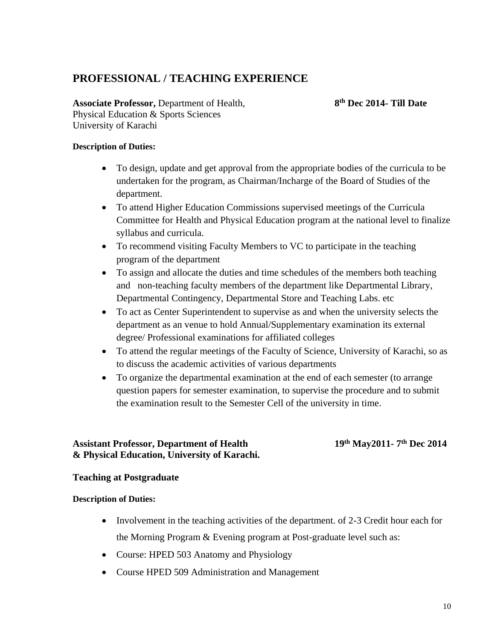### **PROFESSIONAL / TEACHING EXPERIENCE**

**Associate Professor,** Department of Health, **8** Physical Education & Sports Sciences University of Karachi

**th Dec 2014- Till Date**

#### **Description of Duties:**

- To design, update and get approval from the appropriate bodies of the curricula to be undertaken for the program, as Chairman/Incharge of the Board of Studies of the department.
- To attend Higher Education Commissions supervised meetings of the Curricula Committee for Health and Physical Education program at the national level to finalize syllabus and curricula.
- To recommend visiting Faculty Members to VC to participate in the teaching program of the department
- To assign and allocate the duties and time schedules of the members both teaching and non-teaching faculty members of the department like Departmental Library, Departmental Contingency, Departmental Store and Teaching Labs. etc
- To act as Center Superintendent to supervise as and when the university selects the department as an venue to hold Annual/Supplementary examination its external degree/ Professional examinations for affiliated colleges
- To attend the regular meetings of the Faculty of Science, University of Karachi, so as to discuss the academic activities of various departments
- To organize the departmental examination at the end of each semester (to arrange question papers for semester examination, to supervise the procedure and to submit the examination result to the Semester Cell of the university in time.

### **Assistant Professor, Department of Health 19 & Physical Education, University of Karachi.**

**th May2011- 7 th Dec 2014**

#### **Teaching at Postgraduate**

#### **Description of Duties:**

- Involvement in the teaching activities of the department. of 2-3 Credit hour each for the Morning Program & Evening program at Post-graduate level such as:
- Course: HPED 503 Anatomy and Physiology
- Course HPED 509 Administration and Management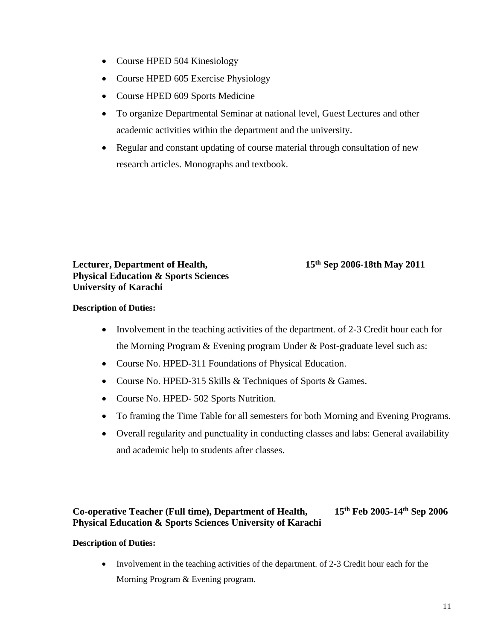- Course HPED 504 Kinesiology
- Course HPED 605 Exercise Physiology
- Course HPED 609 Sports Medicine
- To organize Departmental Seminar at national level, Guest Lectures and other academic activities within the department and the university.
- Regular and constant updating of course material through consultation of new research articles. Monographs and textbook.

**Lecturer, Department of Health, 15 Physical Education & Sports Sciences University of Karachi**

### **th Sep 2006-18th May 2011**

#### **Description of Duties:**

- Involvement in the teaching activities of the department. of 2-3 Credit hour each for the Morning Program & Evening program Under & Post-graduate level such as:
- Course No. HPED-311 Foundations of Physical Education.
- Course No. HPED-315 Skills & Techniques of Sports & Games.
- Course No. HPED- 502 Sports Nutrition.
- To framing the Time Table for all semesters for both Morning and Evening Programs.
- Overall regularity and punctuality in conducting classes and labs: General availability and academic help to students after classes.

### **Co-operative Teacher (Full time), Department of Health, 15th Feb 2005-14th Sep 2006 Physical Education & Sports Sciences University of Karachi**

#### **Description of Duties:**

• Involvement in the teaching activities of the department. of 2-3 Credit hour each for the Morning Program & Evening program.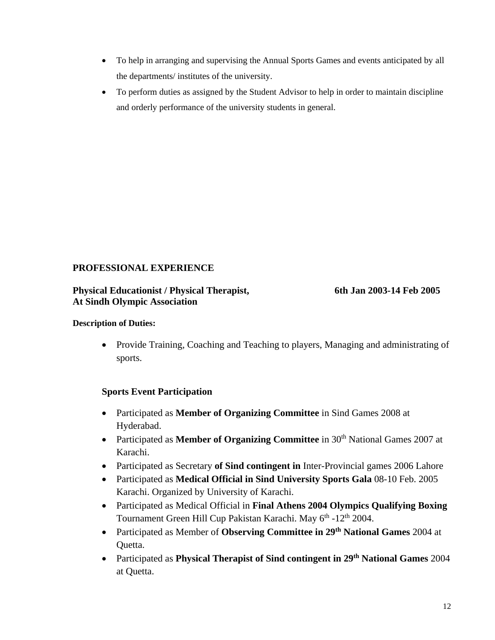- To help in arranging and supervising the Annual Sports Games and events anticipated by all the departments/ institutes of the university.
- To perform duties as assigned by the Student Advisor to help in order to maintain discipline and orderly performance of the university students in general.

### **PROFESSIONAL EXPERIENCE**

#### **Physical Educationist / Physical Therapist, 6th Jan 2003-14 Feb 2005 At Sindh Olympic Association**

#### **Description of Duties:**

 Provide Training, Coaching and Teaching to players, Managing and administrating of sports.

### **Sports Event Participation**

- Participated as **Member of Organizing Committee** in Sind Games 2008 at Hyderabad.
- Participated as **Member of Organizing Committee** in 30<sup>th</sup> National Games 2007 at Karachi.
- Participated as Secretary of Sind contingent in Inter-Provincial games 2006 Lahore
- Participated as **Medical Official in Sind University Sports Gala** 08-10 Feb. 2005 Karachi. Organized by University of Karachi.
- Participated as Medical Official in **Final Athens 2004 Olympics Qualifying Boxing**  Tournament Green Hill Cup Pakistan Karachi. May 6<sup>th</sup> -12<sup>th</sup> 2004.
- Participated as Member of **Observing Committee in 29th National Games** 2004 at Quetta.
- Participated as **Physical Therapist of Sind contingent in 29th National Games** 2004 at Quetta.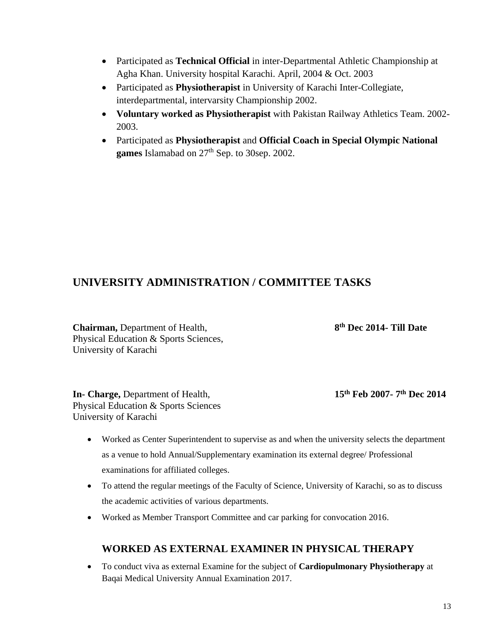- Participated as **Technical Official** in inter-Departmental Athletic Championship at Agha Khan. University hospital Karachi. April, 2004 & Oct. 2003
- Participated as **Physiotherapist** in University of Karachi Inter-Collegiate, interdepartmental, intervarsity Championship 2002.
- **Voluntary worked as Physiotherapist** with Pakistan Railway Athletics Team. 2002- 2003.
- Participated as **Physiotherapist** and **Official Coach in Special Olympic National**  games Islamabad on  $27<sup>th</sup>$  Sep. to 30sep. 2002.

### **UNIVERSITY ADMINISTRATION / COMMITTEE TASKS**

**Chairman,** Department of Health, **8** Physical Education & Sports Sciences, University of Karachi

**th Dec 2014- Till Date**

**In- Charge, Department of Health,** Physical Education & Sports Sciences University of Karachi

15<sup>th</sup> Feb 2007-7<sup>th</sup> Dec 2014

- Worked as Center Superintendent to supervise as and when the university selects the department as a venue to hold Annual/Supplementary examination its external degree/ Professional examinations for affiliated colleges.
- To attend the regular meetings of the Faculty of Science, University of Karachi, so as to discuss the academic activities of various departments.
- Worked as Member Transport Committee and car parking for convocation 2016.

### **WORKED AS EXTERNAL EXAMINER IN PHYSICAL THERAPY**

 To conduct viva as external Examine for the subject of **Cardiopulmonary Physiotherapy** at Baqai Medical University Annual Examination 2017.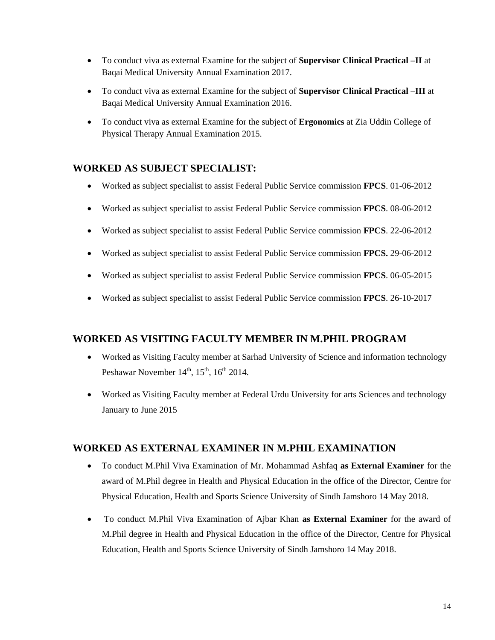- To conduct viva as external Examine for the subject of **Supervisor Clinical Practical –II** at Baqai Medical University Annual Examination 2017.
- To conduct viva as external Examine for the subject of **Supervisor Clinical Practical –III** at Baqai Medical University Annual Examination 2016.
- To conduct viva as external Examine for the subject of **Ergonomics** at Zia Uddin College of Physical Therapy Annual Examination 2015.

### **WORKED AS SUBJECT SPECIALIST:**

- Worked as subject specialist to assist Federal Public Service commission **FPCS**. 01-06-2012
- Worked as subject specialist to assist Federal Public Service commission **FPCS**. 08-06-2012
- Worked as subject specialist to assist Federal Public Service commission **FPCS**. 22-06-2012
- Worked as subject specialist to assist Federal Public Service commission **FPCS.** 29-06-2012
- Worked as subject specialist to assist Federal Public Service commission **FPCS**. 06-05-2015
- Worked as subject specialist to assist Federal Public Service commission **FPCS**. 26-10-2017

### **WORKED AS VISITING FACULTY MEMBER IN M.PHIL PROGRAM**

- Worked as Visiting Faculty member at Sarhad University of Science and information technology Peshawar November  $14<sup>th</sup>$ ,  $15<sup>th</sup>$ ,  $16<sup>th</sup>$  2014.
- Worked as Visiting Faculty member at Federal Urdu University for arts Sciences and technology January to June 2015

### **WORKED AS EXTERNAL EXAMINER IN M.PHIL EXAMINATION**

- To conduct M.Phil Viva Examination of Mr. Mohammad Ashfaq **as External Examiner** for the award of M.Phil degree in Health and Physical Education in the office of the Director, Centre for Physical Education, Health and Sports Science University of Sindh Jamshoro 14 May 2018.
- To conduct M.Phil Viva Examination of Ajbar Khan **as External Examiner** for the award of M.Phil degree in Health and Physical Education in the office of the Director, Centre for Physical Education, Health and Sports Science University of Sindh Jamshoro 14 May 2018.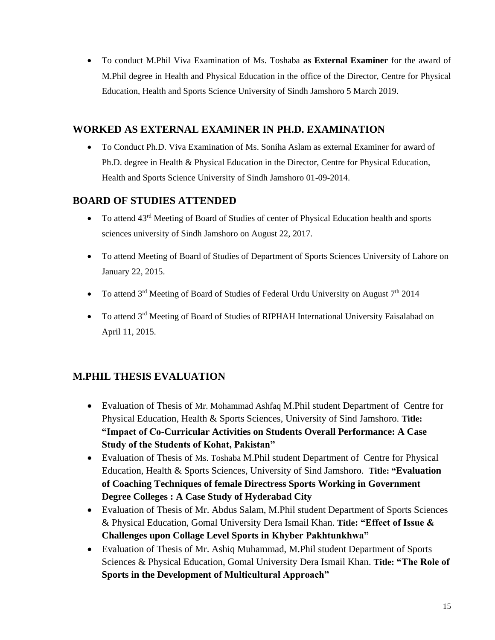To conduct M.Phil Viva Examination of Ms. Toshaba **as External Examiner** for the award of M.Phil degree in Health and Physical Education in the office of the Director, Centre for Physical Education, Health and Sports Science University of Sindh Jamshoro 5 March 2019.

### **WORKED AS EXTERNAL EXAMINER IN PH.D. EXAMINATION**

 To Conduct Ph.D. Viva Examination of Ms. Soniha Aslam as external Examiner for award of Ph.D. degree in Health & Physical Education in the Director, Centre for Physical Education, Health and Sports Science University of Sindh Jamshoro 01-09-2014.

### **BOARD OF STUDIES ATTENDED**

- $\bullet$  To attend 43<sup>rd</sup> Meeting of Board of Studies of center of Physical Education health and sports sciences university of Sindh Jamshoro on August 22, 2017.
- To attend Meeting of Board of Studies of Department of Sports Sciences University of Lahore on January 22, 2015.
- To attend  $3<sup>rd</sup>$  Meeting of Board of Studies of Federal Urdu University on August  $7<sup>th</sup>$  2014
- To attend 3<sup>rd</sup> Meeting of Board of Studies of RIPHAH International University Faisalabad on April 11, 2015.

### **M.PHIL THESIS EVALUATION**

- Evaluation of Thesis of Mr. Mohammad Ashfaq M.Phil student Department of Centre for Physical Education, Health & Sports Sciences, University of Sind Jamshoro. **Title: "Impact of Co-Curricular Activities on Students Overall Performance: A Case Study of the Students of Kohat, Pakistan"**
- Evaluation of Thesis of Ms. Toshaba M.Phil student Department of Centre for Physical Education, Health & Sports Sciences, University of Sind Jamshoro. **Title: "Evaluation of Coaching Techniques of female Directress Sports Working in Government Degree Colleges : A Case Study of Hyderabad City**
- Evaluation of Thesis of Mr. Abdus Salam, M.Phil student Department of Sports Sciences & Physical Education, Gomal University Dera Ismail Khan. **Title: "Effect of Issue & Challenges upon Collage Level Sports in Khyber Pakhtunkhwa"**
- Evaluation of Thesis of Mr. Ashiq Muhammad, M.Phil student Department of Sports Sciences & Physical Education, Gomal University Dera Ismail Khan. **Title: "The Role of Sports in the Development of Multicultural Approach"**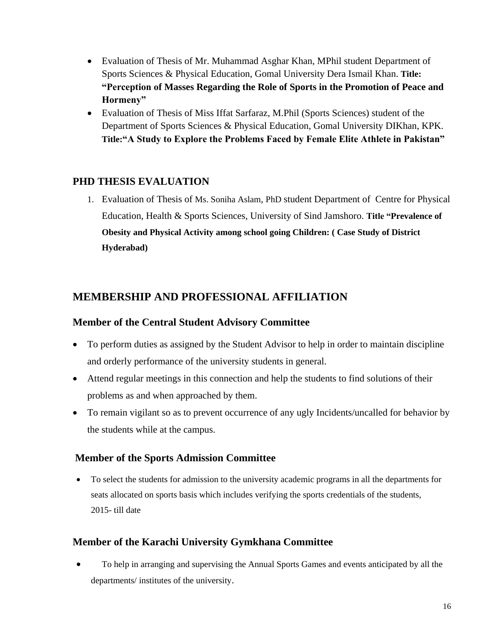- Evaluation of Thesis of Mr. Muhammad Asghar Khan, MPhil student Department of Sports Sciences & Physical Education, Gomal University Dera Ismail Khan. **Title: "Perception of Masses Regarding the Role of Sports in the Promotion of Peace and Hormeny"**
- Evaluation of Thesis of Miss Iffat Sarfaraz, M.Phil (Sports Sciences) student of the Department of Sports Sciences & Physical Education, Gomal University DIKhan, KPK. **Title:"A Study to Explore the Problems Faced by Female Elite Athlete in Pakistan"**

### **PHD THESIS EVALUATION**

1. Evaluation of Thesis of Ms. Soniha Aslam, PhD student Department of Centre for Physical Education, Health & Sports Sciences, University of Sind Jamshoro. **Title "Prevalence of Obesity and Physical Activity among school going Children: ( Case Study of District Hyderabad)**

### **MEMBERSHIP AND PROFESSIONAL AFFILIATION**

### **Member of the Central Student Advisory Committee**

- To perform duties as assigned by the Student Advisor to help in order to maintain discipline and orderly performance of the university students in general.
- Attend regular meetings in this connection and help the students to find solutions of their problems as and when approached by them.
- To remain vigilant so as to prevent occurrence of any ugly Incidents/uncalled for behavior by the students while at the campus.

### **Member of the Sports Admission Committee**

 To select the students for admission to the university academic programs in all the departments for seats allocated on sports basis which includes verifying the sports credentials of the students, 2015- till date

### **Member of the Karachi University Gymkhana Committee**

 To help in arranging and supervising the Annual Sports Games and events anticipated by all the departments/ institutes of the university.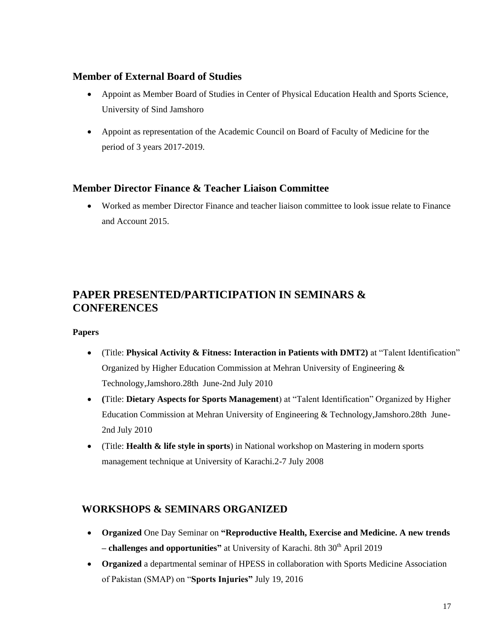### **Member of External Board of Studies**

- Appoint as Member Board of Studies in Center of Physical Education Health and Sports Science, University of Sind Jamshoro
- Appoint as representation of the Academic Council on Board of Faculty of Medicine for the period of 3 years 2017-2019.

### **Member Director Finance & Teacher Liaison Committee**

 Worked as member Director Finance and teacher liaison committee to look issue relate to Finance and Account 2015.

### **PAPER PRESENTED/PARTICIPATION IN SEMINARS & CONFERENCES**

#### **Papers**

- (Title: **Physical Activity & Fitness: Interaction in Patients with DMT2)** at "Talent Identification" Organized by Higher Education Commission at Mehran University of Engineering & Technology,Jamshoro.28th June-2nd July 2010
- **(**Title: **Dietary Aspects for Sports Management**) at "Talent Identification" Organized by Higher Education Commission at Mehran University of Engineering & Technology,Jamshoro.28th June-2nd July 2010
- (Title: **Health & life style in sports**) in National workshop on Mastering in modern sports management technique at University of Karachi.2-7 July 2008

### **WORKSHOPS & SEMINARS ORGANIZED**

- **Organized** One Day Seminar on **"Reproductive Health, Exercise and Medicine. A new trends – challenges and opportunities"** at University of Karachi. 8th 30th April 2019
- **Organized** a departmental seminar of HPESS in collaboration with Sports Medicine Association of Pakistan (SMAP) on "**Sports Injuries"** July 19, 2016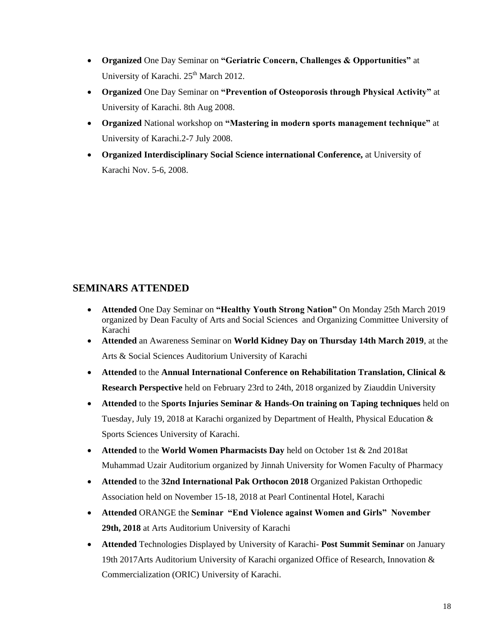- **Organized** One Day Seminar on **"Geriatric Concern, Challenges & Opportunities"** at University of Karachi. 25<sup>th</sup> March 2012.
- **Organized** One Day Seminar on **"Prevention of Osteoporosis through Physical Activity"** at University of Karachi. 8th Aug 2008.
- **Organized** National workshop on **"Mastering in modern sports management technique"** at University of Karachi.2-7 July 2008.
- **Organized Interdisciplinary Social Science international Conference,** at University of Karachi Nov. 5-6, 2008.

### **SEMINARS ATTENDED**

- **Attended** One Day Seminar on **"Healthy Youth Strong Nation"** On Monday 25th March 2019 organized by Dean Faculty of Arts and Social Sciences and Organizing Committee University of Karachi
- **Attended** an Awareness Seminar on **World Kidney Day on Thursday 14th March 2019**, at the Arts & Social Sciences Auditorium University of Karachi
- **Attended** to the **Annual International Conference on Rehabilitation Translation, Clinical & Research Perspective** held on February 23rd to 24th, 2018 organized by Ziauddin University
- **Attended** to the **Sports Injuries Seminar & Hands-On training on Taping techniques** held on Tuesday, July 19, 2018 at Karachi organized by Department of Health, Physical Education & Sports Sciences University of Karachi.
- **Attended** to the **World Women Pharmacists Day** held on October 1st & 2nd 2018at Muhammad Uzair Auditorium organized by Jinnah University for Women Faculty of Pharmacy
- **Attended** to the **32nd International Pak Orthocon 2018** Organized Pakistan Orthopedic Association held on November 15-18, 2018 at Pearl Continental Hotel, Karachi
- **Attended** ORANGE the **Seminar "End Violence against Women and Girls" November 29th, 2018** at Arts Auditorium University of Karachi
- **Attended** Technologies Displayed by University of Karachi- **Post Summit Seminar** on January 19th 2017Arts Auditorium University of Karachi organized Office of Research, Innovation & Commercialization (ORIC) University of Karachi.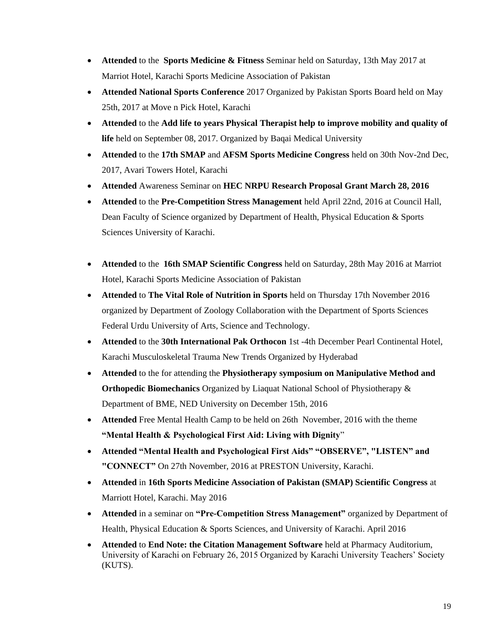- **Attended** to the **Sports Medicine & Fitness** Seminar held on Saturday, 13th May 2017 at Marriot Hotel, Karachi Sports Medicine Association of Pakistan
- **Attended National Sports Conference** 2017 Organized by Pakistan Sports Board held on May 25th, 2017 at Move n Pick Hotel, Karachi
- **Attended** to the **Add life to years Physical Therapist help to improve mobility and quality of life** held on September 08, 2017. Organized by Baqai Medical University
- **Attended** to the **17th SMAP** and **AFSM Sports Medicine Congress** held on 30th Nov-2nd Dec, 2017, Avari Towers Hotel, Karachi
- **Attended** Awareness Seminar on **HEC NRPU Research Proposal Grant March 28, 2016**
- **Attended** to the **Pre-Competition Stress Management** held April 22nd, 2016 at Council Hall, Dean Faculty of Science organized by Department of Health, Physical Education & Sports Sciences University of Karachi.
- **Attended** to the **16th SMAP Scientific Congress** held on Saturday, 28th May 2016 at Marriot Hotel, Karachi Sports Medicine Association of Pakistan
- **Attended** to **The Vital Role of Nutrition in Sports** held on Thursday 17th November 2016 organized by Department of Zoology Collaboration with the Department of Sports Sciences Federal Urdu University of Arts, Science and Technology.
- **Attended** to the **30th International Pak Orthocon** 1st -4th December Pearl Continental Hotel, Karachi Musculoskeletal Trauma New Trends Organized by Hyderabad
- **Attended** to the for attending the **Physiotherapy symposium on Manipulative Method and Orthopedic Biomechanics** Organized by Liaquat National School of Physiotherapy & Department of BME, NED University on December 15th, 2016
- **Attended** Free Mental Health Camp to be held on 26th November, 2016 with the theme **"Mental Health & Psychological First Aid: Living with Dignity**"
- **Attended "Mental Health and Psychological First Aids" "OBSERVE", "LISTEN" and "CONNECT"** On 27th November, 2016 at PRESTON University, Karachi.
- **Attended** in **16th Sports Medicine Association of Pakistan (SMAP) Scientific Congress** at Marriott Hotel, Karachi. May 2016
- **Attended** in a seminar on **"Pre-Competition Stress Management"** organized by Department of Health, Physical Education & Sports Sciences, and University of Karachi. April 2016
- **Attended** to **End Note: the Citation Management Software** held at Pharmacy Auditorium, University of Karachi on February 26, 2015 Organized by Karachi University Teachers' Society (KUTS).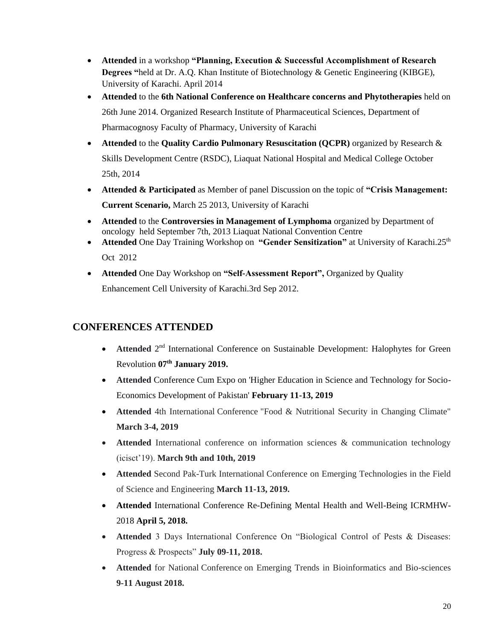- **Attended** in a workshop **"Planning, Execution & Successful Accomplishment of Research Degrees "**held at Dr. A.Q. Khan Institute of Biotechnology & Genetic Engineering (KIBGE), University of Karachi. April 2014
- **Attended** to the **6th National Conference on Healthcare concerns and Phytotherapies** held on 26th June 2014. Organized Research Institute of Pharmaceutical Sciences, Department of Pharmacognosy Faculty of Pharmacy, University of Karachi
- **Attended** to the **Quality Cardio Pulmonary Resuscitation (QCPR)** organized by Research & Skills Development Centre (RSDC), Liaquat National Hospital and Medical College October 25th, 2014
- **Attended & Participated** as Member of panel Discussion on the topic of **"Crisis Management: Current Scenario,** March 25 2013, University of Karachi
- **Attended** to the **Controversies in Management of Lymphoma** organized by Department of oncology held September 7th, 2013 Liaquat National Convention Centre
- **Attended** One Day Training Workshop on "Gender Sensitization" at University of Karachi.25<sup>th</sup> Oct 2012
- **Attended** One Day Workshop on **"Self-Assessment Report",** Organized by Quality Enhancement Cell University of Karachi.3rd Sep 2012.

### **CONFERENCES ATTENDED**

- Attended 2<sup>nd</sup> International Conference on Sustainable Development: Halophytes for Green Revolution **07th January 2019.**
- **Attended** Conference Cum Expo on 'Higher Education in Science and Technology for Socio-Economics Development of Pakistan' **February 11-13, 2019**
- **Attended** 4th International Conference "Food & Nutritional Security in Changing Climate" **March 3-4, 2019**
- **Attended** International conference on information sciences & communication technology (icisct'19). **March 9th and 10th, 2019**
- **Attended** Second Pak-Turk International Conference on Emerging Technologies in the Field of Science and Engineering **March 11-13, 2019.**
- **Attended** International Conference Re-Defining Mental Health and Well-Being ICRMHW-2018 **April 5, 2018.**
- **Attended** 3 Days International Conference On "Biological Control of Pests & Diseases: Progress & Prospects" **July 09-11, 2018.**
- **Attended** for National Conference on Emerging Trends in Bioinformatics and Bio-sciences **9-11 August 2018.**